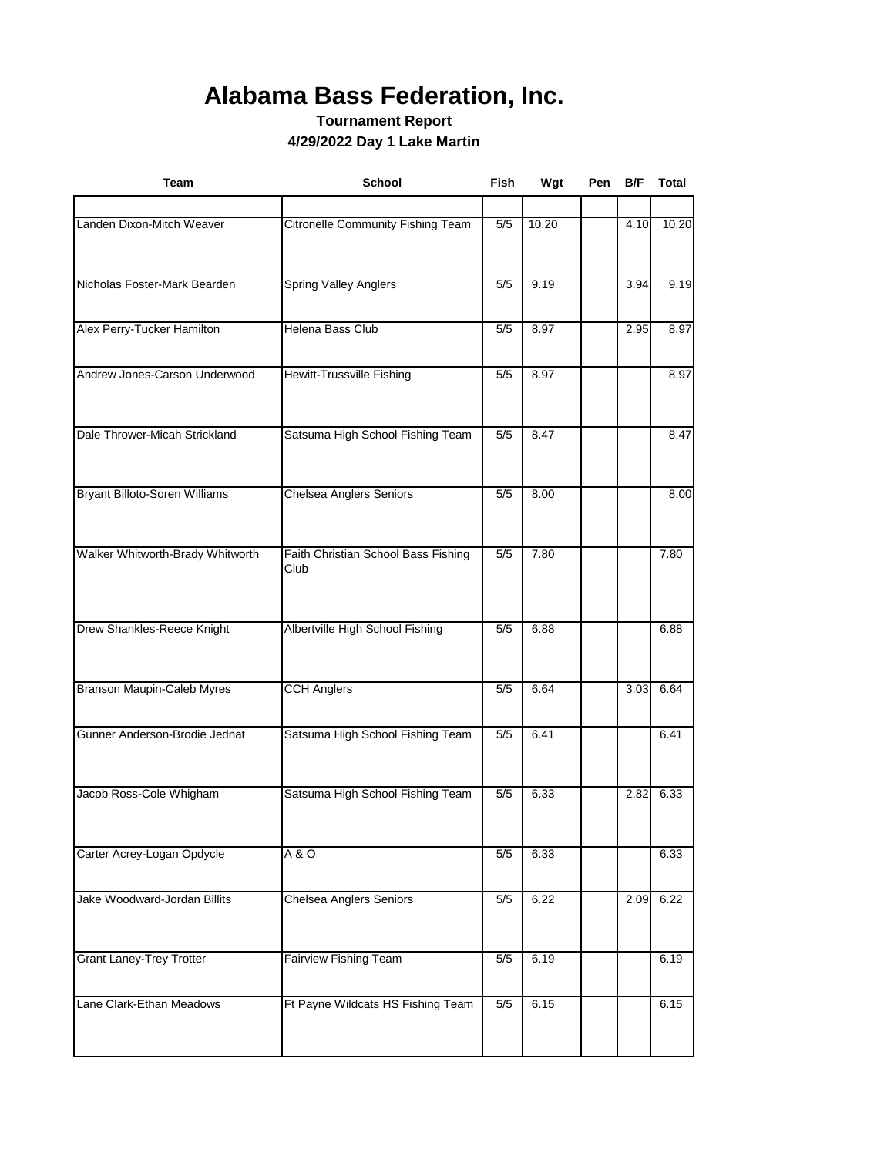## **Alabama Bass Federation, Inc.**

**Tournament Report 4/29/2022 Day 1 Lake Martin**

| <b>Team</b>                       | School                                      | Fish  | Wgt   | Pen | B/F  | <b>Total</b> |
|-----------------------------------|---------------------------------------------|-------|-------|-----|------|--------------|
|                                   |                                             |       |       |     |      |              |
| Landen Dixon-Mitch Weaver         | Citronelle Community Fishing Team           | 5/5   | 10.20 |     | 4.10 | 10.20        |
| Nicholas Foster-Mark Bearden      | <b>Spring Valley Anglers</b>                | 5/5   | 9.19  |     | 3.94 | 9.19         |
| Alex Perry-Tucker Hamilton        | Helena Bass Club                            | 5/5   | 8.97  |     | 2.95 | 8.97         |
| Andrew Jones-Carson Underwood     | Hewitt-Trussville Fishing                   | 5/5   | 8.97  |     |      | 8.97         |
| Dale Thrower-Micah Strickland     | Satsuma High School Fishing Team            | 5/5   | 8.47  |     |      | 8.47         |
| Bryant Billoto-Soren Williams     | Chelsea Anglers Seniors                     | 5/5   | 8.00  |     |      | 8.00         |
| Walker Whitworth-Brady Whitworth  | Faith Christian School Bass Fishing<br>Club | 5/5   | 7.80  |     |      | 7.80         |
| Drew Shankles-Reece Knight        | Albertville High School Fishing             | 5/5   | 6.88  |     |      | 6.88         |
| <b>Branson Maupin-Caleb Myres</b> | <b>CCH Anglers</b>                          | 5/5   | 6.64  |     | 3.03 | 6.64         |
| Gunner Anderson-Brodie Jednat     | Satsuma High School Fishing Team            | 5/5   | 6.41  |     |      | 6.41         |
| Jacob Ross-Cole Whigham           | Satsuma High School Fishing Team            | 5/5   | 6.33  |     | 2.82 | 6.33         |
| Carter Acrey-Logan Opdycle        | $A$ &O                                      | 5/5   | 6.33  |     |      | 6.33         |
| Jake Woodward-Jordan Billits      | <b>Chelsea Anglers Seniors</b>              | $5/5$ | 6.22  |     | 2.09 | 6.22         |
| <b>Grant Laney-Trey Trotter</b>   | <b>Fairview Fishing Team</b>                | 5/5   | 6.19  |     |      | 6.19         |
| Lane Clark-Ethan Meadows          | Ft Payne Wildcats HS Fishing Team           | 5/5   | 6.15  |     |      | 6.15         |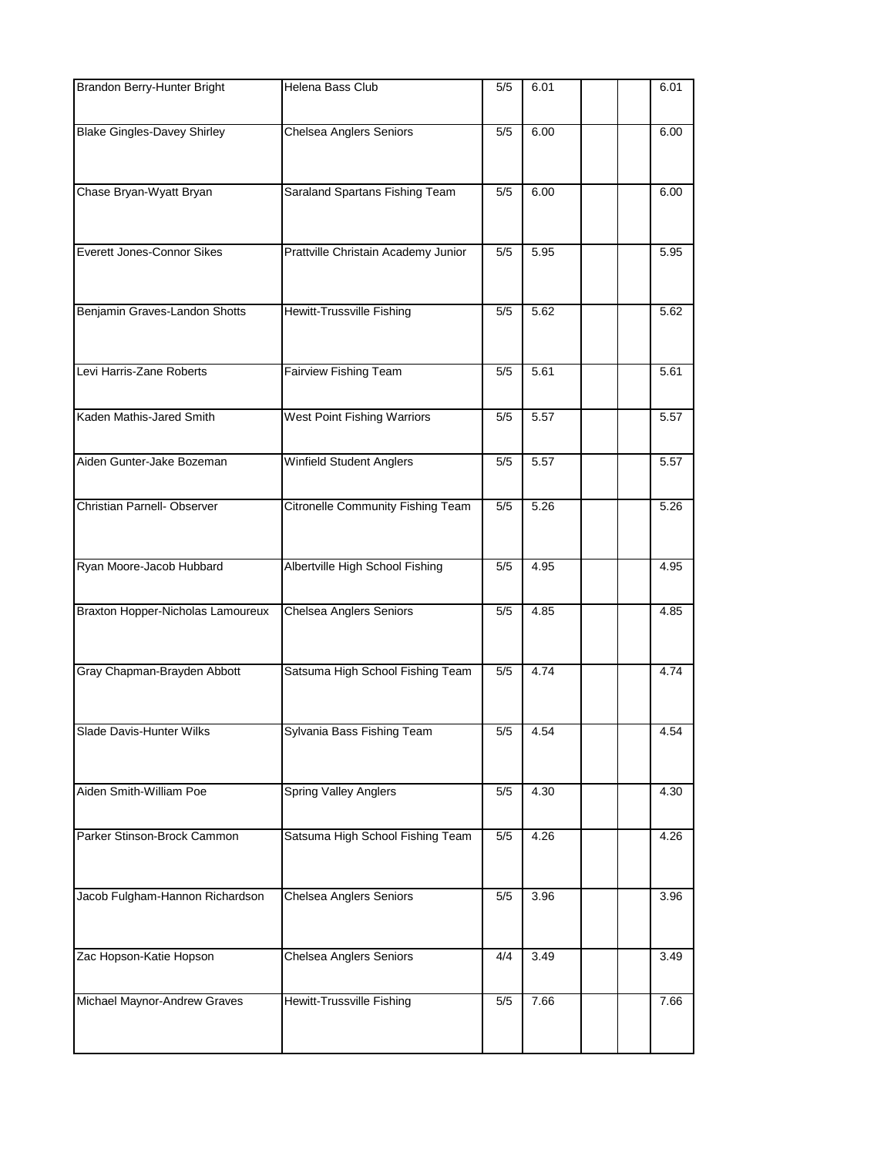| Brandon Berry-Hunter Bright        | Helena Bass Club                    | 5/5 | 6.01 |  | 6.01 |
|------------------------------------|-------------------------------------|-----|------|--|------|
| <b>Blake Gingles-Davey Shirley</b> | Chelsea Anglers Seniors             | 5/5 | 6.00 |  | 6.00 |
| Chase Bryan-Wyatt Bryan            | Saraland Spartans Fishing Team      | 5/5 | 6.00 |  | 6.00 |
| Everett Jones-Connor Sikes         | Prattville Christain Academy Junior | 5/5 | 5.95 |  | 5.95 |
| Benjamin Graves-Landon Shotts      | Hewitt-Trussville Fishing           | 5/5 | 5.62 |  | 5.62 |
| Levi Harris-Zane Roberts           | <b>Fairview Fishing Team</b>        | 5/5 | 5.61 |  | 5.61 |
| Kaden Mathis-Jared Smith           | West Point Fishing Warriors         | 5/5 | 5.57 |  | 5.57 |
| Aiden Gunter-Jake Bozeman          | Winfield Student Anglers            | 5/5 | 5.57 |  | 5.57 |
| Christian Parnell- Observer        | Citronelle Community Fishing Team   | 5/5 | 5.26 |  | 5.26 |
| Ryan Moore-Jacob Hubbard           | Albertville High School Fishing     | 5/5 | 4.95 |  | 4.95 |
| Braxton Hopper-Nicholas Lamoureux  | <b>Chelsea Anglers Seniors</b>      | 5/5 | 4.85 |  | 4.85 |
| Gray Chapman-Brayden Abbott        | Satsuma High School Fishing Team    | 5/5 | 4.74 |  | 4.74 |
| Slade Davis-Hunter Wilks           | Sylvania Bass Fishing Team          | 5/5 | 4.54 |  | 4.54 |
| Aiden Smith-William Poe            | <b>Spring Valley Anglers</b>        | 5/5 | 4.30 |  | 4.30 |
| Parker Stinson-Brock Cammon        | Satsuma High School Fishing Team    | 5/5 | 4.26 |  | 4.26 |
| Jacob Fulgham-Hannon Richardson    | <b>Chelsea Anglers Seniors</b>      | 5/5 | 3.96 |  | 3.96 |
| Zac Hopson-Katie Hopson            | <b>Chelsea Anglers Seniors</b>      | 4/4 | 3.49 |  | 3.49 |
| Michael Maynor-Andrew Graves       | Hewitt-Trussville Fishing           | 5/5 | 7.66 |  | 7.66 |